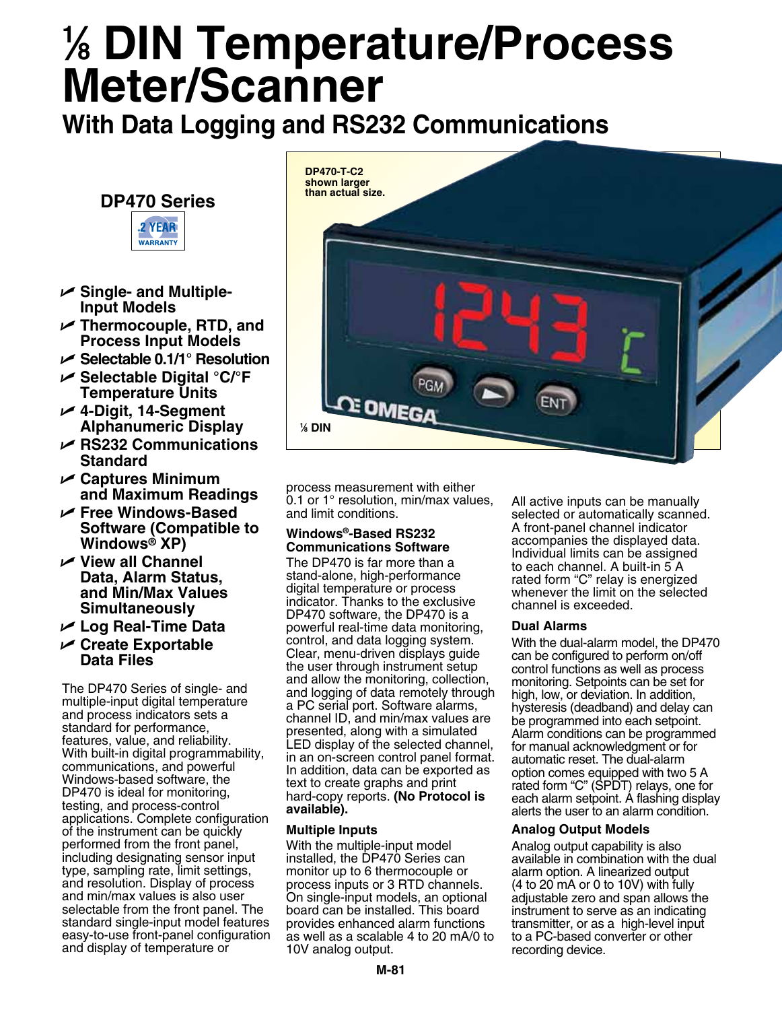# **1 ⁄8 DIN Temperature/Process Meter/Scanner**

**With Data Logging and RS232 Communications**

### **DP470 Series**



- U **Single- and Multiple-Input Models**
- U **Thermocouple, RTD, and Process Input Models**
- U **Selectable 0.1/1° Resolution**
- U **Selectable Digital °C/°F Temperature Units**
- U **4-Digit, 14-Segment Alphanumeric Display**
- U **RS232 Communications Standard**
- U **Captures Minimum and Maximum Readings**
- U **Free Windows-Based Software (Compatible to Windows® XP)**
- U **View all Channel Data, Alarm Status, and Min/Max Values Simultaneously**
- U **Log Real-Time Data**
- U **Create Exportable Data Files**

The DP470 Series of single- and multiple-input digital temperature and process indicators sets a standard for performance, features, value, and reliability. With built-in digital programmability, communications, and powerful Windows-based software, the DP470 is ideal for monitoring, testing, and process-control applications. Complete configuration of the instrument can be quickly performed from the front panel, including designating sensor input type, sampling rate, limit settings, and resolution. Display of process and min/max values is also user selectable from the front panel. The standard single-input model features easy-to-use front-panel configuration and display of temperature or



process measurement with either 0.1 or 1° resolution, min/max values, and limit conditions.

#### **Windows®-Based RS232 Communications Software**

The DP470 is far more than a stand-alone, high-performance digital temperature or process indicator. Thanks to the exclusive DP470 software, the DP470 is a powerful real-time data monitoring, control, and data logging system. Clear, menu-driven displays guide the user through instrument setup and allow the monitoring, collection, and logging of data remotely through a PC serial port. Software alarms, channel ID, and min/max values are presented, along with a simulated LED display of the selected channel, in an on-screen control panel format. In addition, data can be exported as text to create graphs and print hard-copy reports. **(No Protocol is available).**

#### **Multiple Inputs**

With the multiple-input model installed, the DP470 Series can monitor up to 6 thermocouple or process inputs or 3 RTD channels. On single-input models, an optional board can be installed. This board provides enhanced alarm functions as well as a scalable 4 to 20 mA/0 to 10V analog output.

All active inputs can be manually selected or automatically scanned. A front-panel channel indicator accompanies the displayed data. Individual limits can be assigned to each channel. A built-in 5 A rated form "C" relay is energized whenever the limit on the selected channel is exceeded.

#### **Dual Alarms**

With the dual-alarm model, the DP470 can be configured to perform on/off control functions as well as process monitoring. Setpoints can be set for high, low, or deviation. In addition, hysteresis (deadband) and delay can be programmed into each setpoint. Alarm conditions can be programmed for manual acknowledgment or for automatic reset. The dual-alarm option comes equipped with two 5 A rated form "C" (SPDT) relays, one for each alarm setpoint. A flashing display alerts the user to an alarm condition.

#### **Analog Output Models**

Analog output capability is also available in combination with the dual alarm option. A linearized output (4 to 20 mA or 0 to 10V) with fully adjustable zero and span allows the instrument to serve as an indicating transmitter, or as a high-level input to a PC-based converter or other recording device.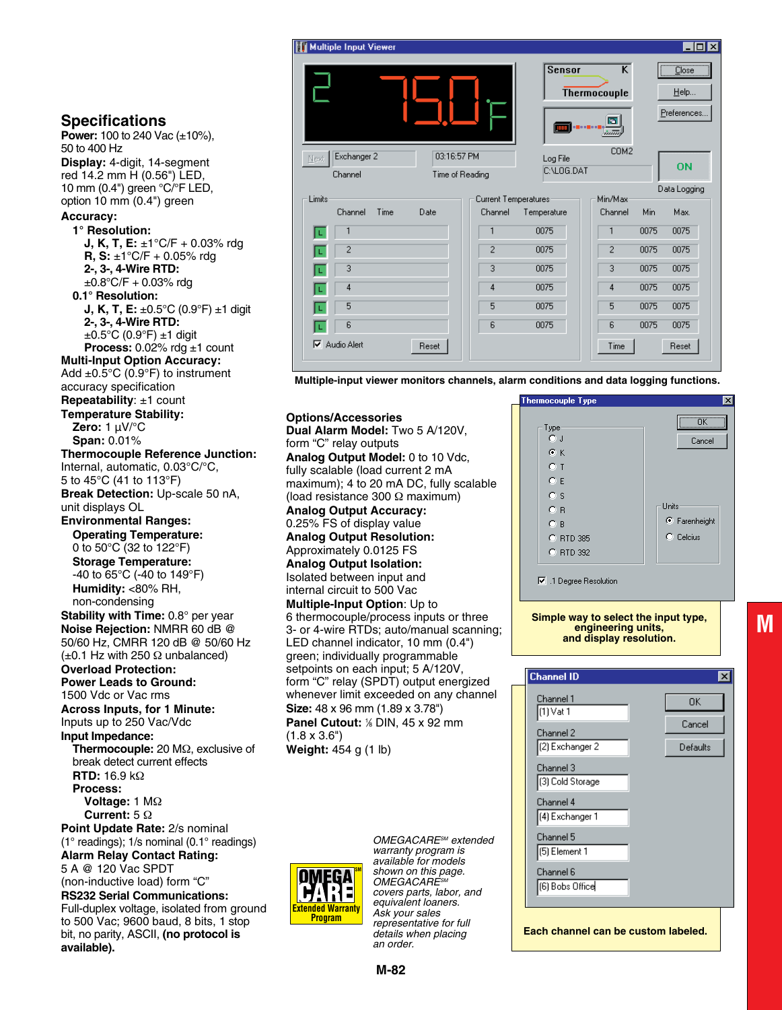

**Multiple-input viewer monitors channels, alarm conditions and data logging functions.** 

**Options/Accessories Dual Alarm Model:** Two 5 A/120V, form "C" relay outputs **Analog Output Model:** 0 to 10 Vdc, fully scalable (load current 2 mA maximum); 4 to 20 mA DC, fully scalable (load resistance 300 Ω maximum) **Analog Output Accuracy:** 0.25% FS of display value **Analog Output Resolution:** Approximately 0.0125 FS **Analog Output Isolation:** Isolated between input and internal circuit to 500 Vac **Multiple-Input Option**: Up to 6 thermocouple/process inputs or three 3- or 4-wire RTDs; auto/manual scanning; LED channel indicator, 10 mm (0.4") green; individually programmable setpoints on each input; 5 A/120V, form "C" relay (SPDT) output energized whenever limit exceeded on any channel **Size:** 48 x 96 mm (1.89 x 3.78") **Panel Cutout:** % DIN, 45 x 92 mm (1.8 x 3.6") **Weight:** 454 g (1 lb)

> *OMEGACARESM extended warranty program is available for models shown on this page.*  **OMEGACARE** *covers parts, labor, and equivalent loaners. Ask your sales representative for full details when placing an order.*

hermocouple Type ÖK Type-<br>C J Cancel  $G K$  $C$  T  $C.E$  $C<sub>S</sub>$ Units  $C$  B  $\mathbf{F}$  Farenheight  $\subset$  B C Celcius C RTD 385 C BTD 392

I Degree Resolution

**Simple way to select the input type, engineering units, and display resolution.**

**M**

| <b>Channel ID</b>                   | $\times$ |  |
|-------------------------------------|----------|--|
| Channel 1                           | 0K.      |  |
| (1) Vat 1                           | Cancel   |  |
| Channel 2                           |          |  |
| (2) Exchanger 2                     | Defaults |  |
| Channel 3                           |          |  |
| [3] Cold Storage                    |          |  |
| Channel 4                           |          |  |
| (4) Exchanger 1                     |          |  |
| Channel 5                           |          |  |
| [5] Element 1                       |          |  |
| Channel 6                           |          |  |
| [6] Bobs Office                     |          |  |
|                                     |          |  |
|                                     |          |  |
| Each channel can be custom labeled. |          |  |

#### **Specifications**

**Power:** 100 to 240 Vac (±10%), 50 to 400 Hz **Display:** 4-digit, 14-segment red 14.2 mm H (0.56") LED, 10 mm (0.4") green °C/°F LED, option 10 mm (0.4") green

#### **Accuracy:**

**1° Resolution: J, K, T, E:** ±1°C/F + 0.03% rdg **R, S:** ±1°C/F + 0.05% rdg **2-, 3-, 4-Wire RTD:**  $\pm 0.8$ °C/F + 0.03% rdg **0.1° Resolution: J, K, T, E:**  $\pm 0.5^{\circ}$ C (0.9°F)  $\pm 1$  digit **2-, 3-, 4-Wire RTD:**  $\pm 0.5^{\circ}$ C (0.9 $^{\circ}$ F)  $\pm 1$  digit **Process:** 0.02% rdg ±1 count **Multi-Input Option Accuracy:** Add  $\pm 0.5^{\circ}$ C (0.9 $^{\circ}$ F) to instrument accuracy specification **Repeatability**: ±1 count **Temperature Stability: Zero:** 1 µV/°C **Span:** 0.01% **Thermocouple Reference Junction:** Internal, automatic, 0.03°C/°C, 5 to 45°C (41 to 113°F) **Break Detection:** Up-scale 50 nA, unit displays OL **Environmental Ranges: Operating Temperature:** 0 to 50°C (32 to 122°F) **Storage Temperature:** -40 to 65°C (-40 to 149°F) **Humidity:** <80% RH, non-condensing **Stability with Time:** 0.8° per year **Noise Rejection:** NMRR 60 dB @ 50/60 Hz, CMRR 120 dB @ 50/60 Hz  $(\pm 0.1$  Hz with 250  $\Omega$  unbalanced) **Overload Protection: Power Leads to Ground:** 1500 Vdc or Vac rms **Across Inputs, for 1 Minute:** Inputs up to 250 Vac/Vdc **Input Impedance: Thermocouple:** 20 MΩ, exclusive of break detect current effects **RTD:** 16.9 kΩ **Process: Voltage:** 1 MΩ **Current:** 5 Ω **Point Update Rate:** 2/s nominal (1° readings); 1/s nominal (0.1° readings) **Alarm Relay Contact Rating:**

5 A @ 120 Vac SPDT (non-inductive load) form "C"

**RS232 Serial Communications:** Full-duplex voltage, isolated from ground to 500 Vac; 9600 baud, 8 bits, 1 stop bit, no parity, ASCII, **(no protocol is available).**

**Extended Warranty Program**

**SM**